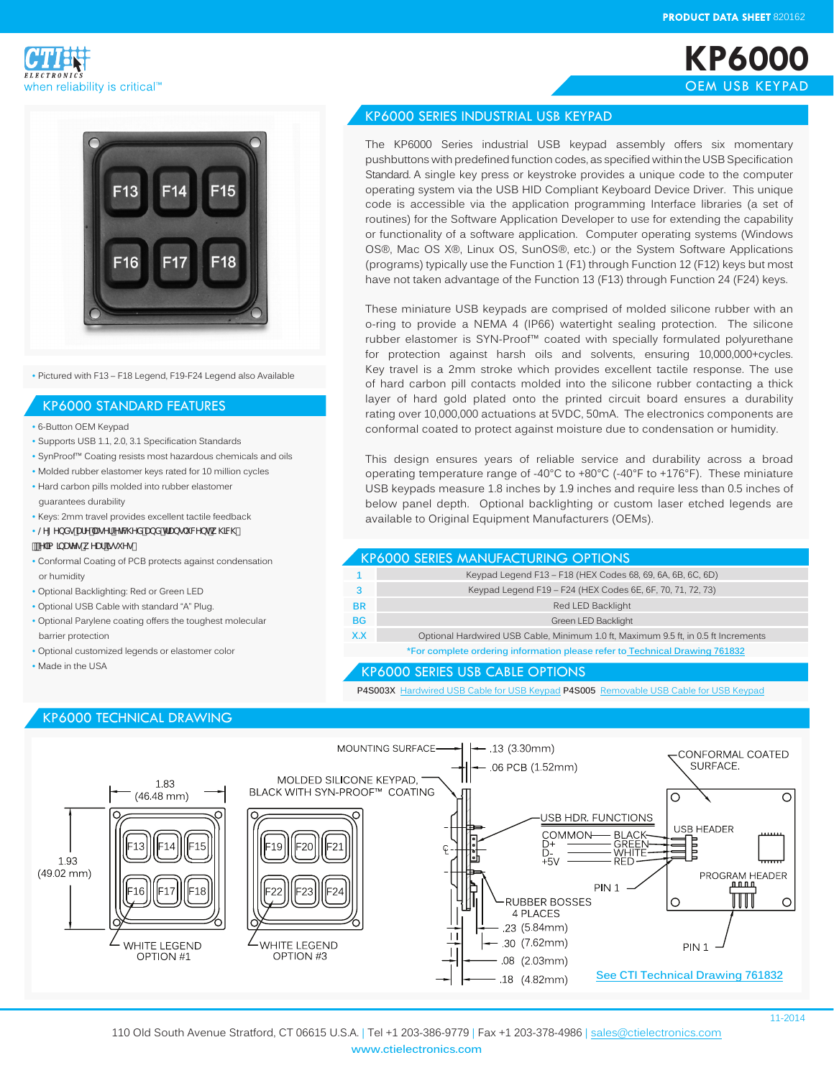**KP6000** OEM USB KEYPAD





• Pictured with F13 – F18 Legend, F19-F24 Legend also Available

#### KP6000 STANDARD FEATURES

- 6-Button OEM Keypad
- Supports USB 1.1, 2.0, 3.1 Specification Standards
- SynProof™ Coating resists most hazardous chemicals and oils
- Molded rubber elastomer keys rated for 10 million cycles
- Hard carbon pills molded into rubber elastomer guarantees durability
- Keys: 2mm travel provides excellent tactile feedback
- @Y [YbXg'UfY"UgYf'YhWYX'UbX'hfUbg'i WYbhk \]MX
- .<br>'Y`]a ]bUHYq'k YUf']qqi Yq'
- Conformal Coating of PCB protects against condensation or humidity
- Optional Backlighting: Red or Green LED
- Optional USB Cable with standard "A" Plug.
- Optional Parylene coating offers the toughest molecular barrier protection
- Optional customized legends or elastomer color
- Made in the USA

## KP6000 TECHNICAL DRAWING

#### KP6000 SERIES INDUSTRIAL USB KEYPAD

The KP6000 Series industrial USB keypad assembly offers six momentary pushbuttons with predefined function codes, as specified within the USB Specification Standard. A single key press or keystroke provides a unique code to the computer operating system via the USB HID Compliant Keyboard Device Driver. This unique code is accessible via the application programming Interface libraries (a set of routines) for the Software Application Developer to use for extending the capability or functionality of a software application. Computer operating systems (Windows OS®, Mac OS X®, Linux OS, SunOS®, etc.) or the System Software Applications (programs) typically use the Function 1 (F1) through Function 12 (F12) keys but most have not taken advantage of the Function 13 (F13) through Function 24 (F24) keys.

These miniature USB keypads are comprised of molded silicone rubber with an o-ring to provide a NEMA 4 (IP66) watertight sealing protection. The silicone rubber elastomer is SYN-Proof™ coated with specially formulated polyurethane for protection against harsh oils and solvents, ensuring 10,000,000+cycles. Key travel is a 2mm stroke which provides excellent tactile response. The use of hard carbon pill contacts molded into the silicone rubber contacting a thick layer of hard gold plated onto the printed circuit board ensures a durability rating over 10,000,000 actuations at 5VDC, 50mA. The electronics components are conformal coated to protect against moisture due to condensation or humidity.

This design ensures years of reliable service and durability across a broad operating temperature range of -40°C to +80°C (-40°F to +176°F). These miniature USB keypads measure 1.8 inches by 1.9 inches and require less than 0.5 inches of below panel depth. Optional backlighting or custom laser etched legends are available to Original Equipment Manufacturers (OEMs).

### KP6000 SERIES MANUFACTURING OPTIONS

|           | Keypad Legend F13 - F18 (HEX Codes 68, 69, 6A, 6B, 6C, 6D)                         |
|-----------|------------------------------------------------------------------------------------|
|           | Keypad Legend F19 - F24 (HEX Codes 6E, 6F, 70, 71, 72, 73)                         |
| <b>BR</b> | Red LED Backlight                                                                  |
| <b>BG</b> | Green LED Backlight                                                                |
| X.X       | Optional Hardwired USB Cable, Minimum 1.0 ft, Maximum 9.5 ft, in 0.5 ft Increments |
|           | *For complete ordering information please refer to Technical Drawing 761832        |

#### KP6000 SERIES USB CABLE OPTIONS

**P4S003X** Hardwired USB Cable for USB Keypad **P4S005** Removable USB Cable for USB Keypad